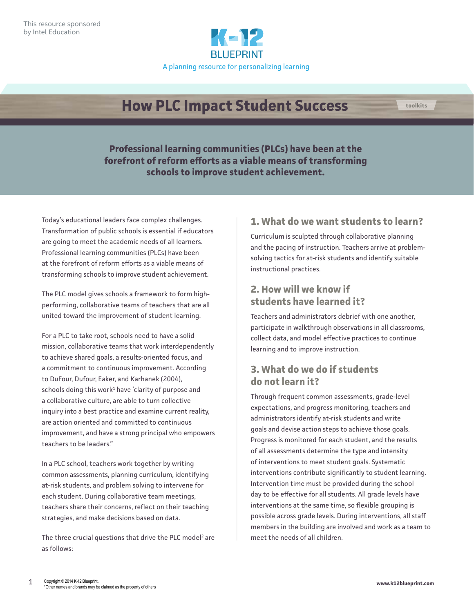

# **How PLC Impact Student Success**

**Professional learning communities (PLCs) have been at the forefront of reform efforts as a viable means of transforming schools to improve student achievement.**

Today's educational leaders face complex challenges. Transformation of public schools is essential if educators are going to meet the academic needs of all learners. Professional learning communities (PLCs) have been at the forefront of reform efforts as a viable means of transforming schools to improve student achievement.

The PLC model gives schools a framework to form highperforming, collaborative teams of teachers that are all united toward the improvement of student learning.

For a PLC to take root, schools need to have a solid mission, collaborative teams that work interdependently to achieve shared goals, a results-oriented focus, and a commitment to continuous improvement. According to DuFour, Dufour, Eaker, and Karhanek (2004),  $s$ chools doing this work $^1$  have 'clarity of purpose and a collaborative culture, are able to turn collective inquiry into a best practice and examine current reality, are action oriented and committed to continuous improvement, and have a strong principal who empowers teachers to be leaders."

In a PLC school, teachers work together by writing common assessments, planning curriculum, identifying at-risk students, and problem solving to intervene for each student. During collaborative team meetings, teachers share their concerns, reflect on their teaching strategies, and make decisions based on data.

The three crucial questions that drive the PLC model<sup>2</sup> are as follows:

#### **1. What do we want students to learn?**

**toolkits**

Curriculum is sculpted through collaborative planning and the pacing of instruction. Teachers arrive at problemsolving tactics for at-risk students and identify suitable instructional practices.

### **2. How will we know if students have learned it?**

Teachers and administrators debrief with one another, participate in walkthrough observations in all classrooms, collect data, and model effective practices to continue learning and to improve instruction.

### **3. What do we do if students do not learn it?**

Through frequent common assessments, grade-level expectations, and progress monitoring, teachers and administrators identify at-risk students and write goals and devise action steps to achieve those goals. Progress is monitored for each student, and the results of all assessments determine the type and intensity of interventions to meet student goals. Systematic interventions contribute significantly to student learning. Intervention time must be provided during the school day to be effective for all students. All grade levels have interventions at the same time, so flexible grouping is possible across grade levels. During interventions, all staff members in the building are involved and work as a team to meet the needs of all children.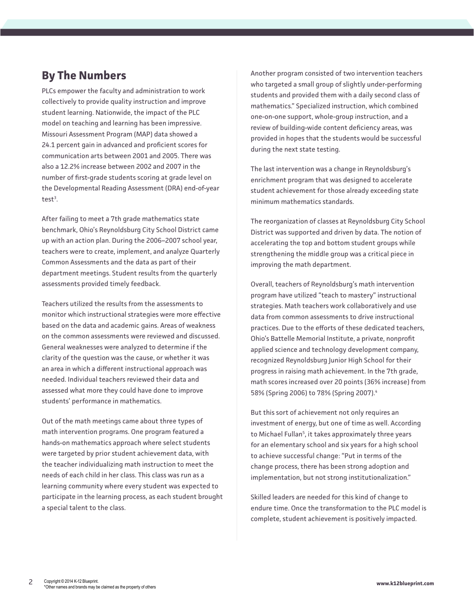## **By The Numbers**

PLCs empower the faculty and administration to work collectively to provide quality instruction and improve student learning. Nationwide, the impact of the PLC model on teaching and learning has been impressive. Missouri Assessment Program (MAP) data showed a 24.1 percent gain in advanced and proficient scores for communication arts between 2001 and 2005. There was also a 12.2% increase between 2002 and 2007 in the number of first-grade students scoring at grade level on the Developmental Reading Assessment (DRA) end-of-year  $test<sup>3</sup>$ .

After failing to meet a 7th grade mathematics state benchmark, Ohio's Reynoldsburg City School District came up with an action plan. During the 2006–2007 school year, teachers were to create, implement, and analyze Quarterly Common Assessments and the data as part of their department meetings. Student results from the quarterly assessments provided timely feedback.

Teachers utilized the results from the assessments to monitor which instructional strategies were more effective based on the data and academic gains. Areas of weakness on the common assessments were reviewed and discussed. General weaknesses were analyzed to determine if the clarity of the question was the cause, or whether it was an area in which a different instructional approach was needed. Individual teachers reviewed their data and assessed what more they could have done to improve students' performance in mathematics.

Out of the math meetings came about three types of math intervention programs. One program featured a hands-on mathematics approach where select students were targeted by prior student achievement data, with the teacher individualizing math instruction to meet the needs of each child in her class. This class was run as a learning community where every student was expected to participate in the learning process, as each student brought a special talent to the class.

Another program consisted of two intervention teachers who targeted a small group of slightly under-performing students and provided them with a daily second class of mathematics." Specialized instruction, which combined one-on-one support, whole-group instruction, and a review of building-wide content deficiency areas, was provided in hopes that the students would be successful during the next state testing.

The last intervention was a change in Reynoldsburg's enrichment program that was designed to accelerate student achievement for those already exceeding state minimum mathematics standards.

The reorganization of classes at Reynoldsburg City School District was supported and driven by data. The notion of accelerating the top and bottom student groups while strengthening the middle group was a critical piece in improving the math department.

Overall, teachers of Reynoldsburg's math intervention program have utilized "teach to mastery" instructional strategies. Math teachers work collaboratively and use data from common assessments to drive instructional practices. Due to the efforts of these dedicated teachers, Ohio's Battelle Memorial Institute, a private, nonprofit applied science and technology development company, recognized Reynoldsburg Junior High School for their progress in raising math achievement. In the 7th grade, math scores increased over 20 points (36% increase) from 58% (Spring 2006) to 78% (Spring 2007).<sup>4</sup>

But this sort of achievement not only requires an investment of energy, but one of time as well. According to Michael Fullan<sup>5</sup>, it takes approximately three years for an elementary school and six years for a high school to achieve successful change: "Put in terms of the change process, there has been strong adoption and implementation, but not strong institutionalization."

Skilled leaders are needed for this kind of change to endure time. Once the transformation to the PLC model is complete, student achievement is positively impacted.